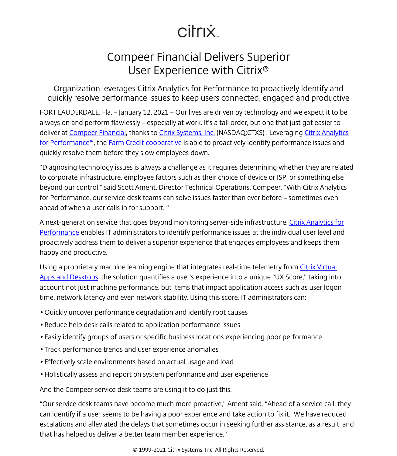## citrix.

## Compeer Financial Delivers Superior User Experience with Citrix®

Organization leverages Citrix Analytics for Performance to proactively identify and quickly resolve performance issues to keep users connected, engaged and productive

FORT LAUDERDALE, Fla. – January 12, 2021 – Our lives are driven by technology and we expect it to be always on and perform flawlessly – especially at work. It's a tall order, but one that just got easier to deliver at [Compeer Financial,](https://www.citrix.com/customers/compeer-financial-en.html) thanks to [Citrix Systems, Inc.](/content/citrix/en-sg/
            .html) (NASDAQ:CTXS) . Leveraging [Citrix Analytics](https://www.citrix.com/products/citrix-analytics-performance/) [for Performance™](https://www.citrix.com/products/citrix-analytics-performance/), the [Farm Credit cooperative](http://www.compeer.com) is able to proactively identify performance issues and quickly resolve them before they slow employees down.

"Diagnosing technology issues is always a challenge as it requires determining whether they are related to corporate infrastructure, employee factors such as their choice of device or ISP, or something else beyond our control," said Scott Ament, Director Technical Operations, Compeer. "With Citrix Analytics for Performance, our service desk teams can solve issues faster than ever before – sometimes even ahead of when a user calls in for support. "

A next-generation service that goes beyond monitoring server-side infrastructure, [Citrix Analytics for](/content/citrix/en-sg/solutions/analytics/performance-analytics.html) [Performance](/content/citrix/en-sg/solutions/analytics/performance-analytics.html) enables IT administrators to identify performance issues at the individual user level and proactively address them to deliver a superior experience that engages employees and keeps them happy and productive.

Using a proprietary machine learning engine that integrates real-time telemetry from [Citrix Virtual](/content/citrix/en-sg/products/citrix-virtual-apps-and-desktops/
            .html) [Apps and Desktops](/content/citrix/en-sg/products/citrix-virtual-apps-and-desktops/
            .html), the solution quantifies a user's experience into a unique "UX Score," taking into account not just machine performance, but items that impact application access such as user logon time, network latency and even network stability. Using this score, IT administrators can:

- Quickly uncover performance degradation and identify root causes
- Reduce help desk calls related to application performance issues
- Easily identify groups of users or specific business locations experiencing poor performance
- Track performance trends and user experience anomalies
- Effectively scale environments based on actual usage and load
- Holistically assess and report on system performance and user experience

And the Compeer service desk teams are using it to do just this.

"Our service desk teams have become much more proactive," Ament said. "Ahead of a service call, they can identify if a user seems to be having a poor experience and take action to fix it. We have reduced escalations and alleviated the delays that sometimes occur in seeking further assistance, as a result, and that has helped us deliver a better team member experience."

© 1999-2021 Citrix Systems, Inc. All Rights Reserved.